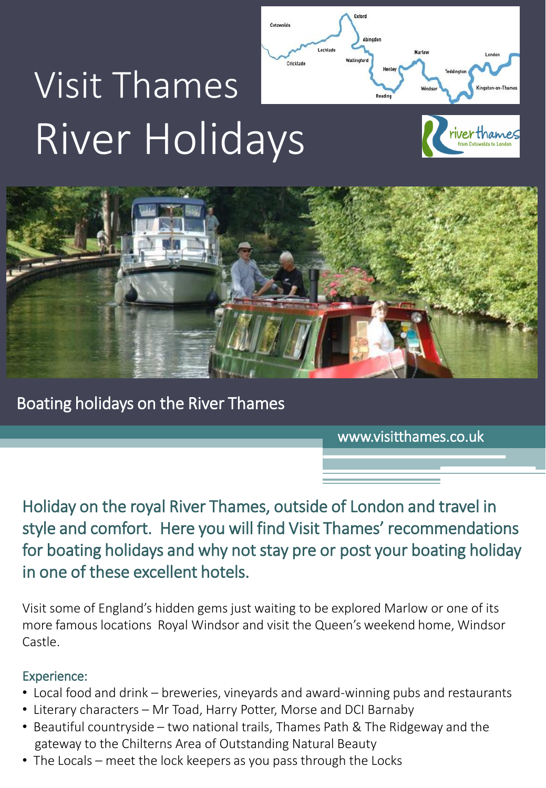# Visit Thames River Holidays





Boating holidays on the River Thames

www.visitthames.co.uk

Holiday on the royal River Thames, outside of London and travel in style and comfort. Here you will find Visit Thames' recommendations for boating holidays and why not stay pre or post your boating holiday in one of these excellent hotels.

Visit some of England's hidden gems just waiting to be explored Marlow or one of its more famous locations Royal Windsor and visit the Queen's weekend home, Windsor Castle.

# Experience:

- Local food and drink breweries, vineyards and award-winning pubs and restaurants
- Literary characters Mr Toad, Harry Potter, Morse and DCI Barnaby
- Beautiful countryside two national trails, Thames Path & The Ridgeway and the gateway to the Chilterns Area of Outstanding Natural Beauty
- The Locals meet the lock keepers as you pass through the Locks